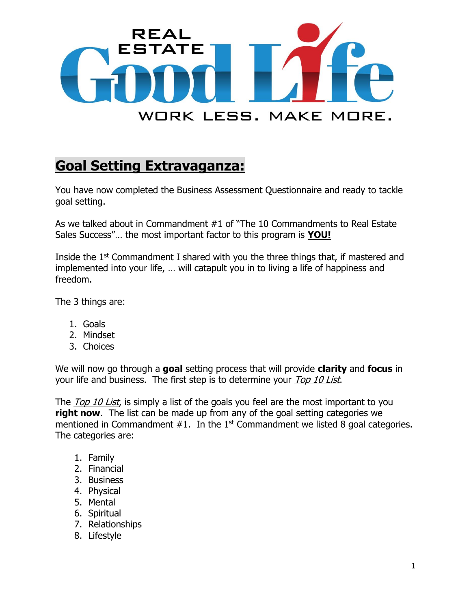

## **Goal Setting Extravaganza:**

You have now completed the Business Assessment Questionnaire and ready to tackle goal setting.

As we talked about in Commandment #1 of "The 10 Commandments to Real Estate Sales Success"… the most important factor to this program is **YOU!**

Inside the  $1<sup>st</sup>$  Commandment I shared with you the three things that, if mastered and implemented into your life, … will catapult you in to living a life of happiness and freedom.

The 3 things are:

- 1. Goals
- 2. Mindset
- 3. Choices

We will now go through a **goal** setting process that will provide **clarity** and **focus** in your life and business. The first step is to determine your Top 10 List.

The *Top 10 List*, is simply a list of the goals you feel are the most important to you **right now.** The list can be made up from any of the goal setting categories we mentioned in Commandment  $#1$ . In the 1<sup>st</sup> Commandment we listed 8 goal categories. The categories are:

- 1. Family
- 2. Financial
- 3. Business
- 4. Physical
- 5. Mental
- 6. Spiritual
- 7. Relationships
- 8. Lifestyle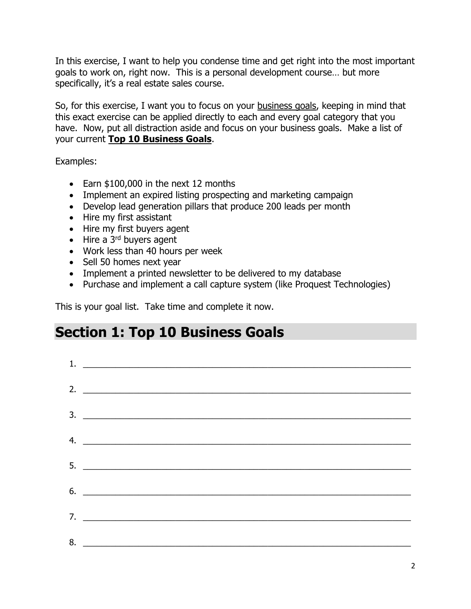In this exercise, I want to help you condense time and get right into the most important goals to work on, right now. This is a personal development course… but more specifically, it's a real estate sales course.

So, for this exercise, I want you to focus on your business goals, keeping in mind that this exact exercise can be applied directly to each and every goal category that you have. Now, put all distraction aside and focus on your business goals. Make a list of your current **Top 10 Business Goals**.

Examples:

- Earn \$100,000 in the next 12 months
- Implement an expired listing prospecting and marketing campaign
- Develop lead generation pillars that produce 200 leads per month
- Hire my first assistant
- Hire my first buyers agent
- $\bullet$  Hire a 3<sup>rd</sup> buyers agent
- Work less than 40 hours per week
- Sell 50 homes next year
- Implement a printed newsletter to be delivered to my database
- Purchase and implement a call capture system (like Proquest Technologies)

This is your goal list. Take time and complete it now.

## **Section 1: Top 10 Business Goals**

| 2. $\qquad \qquad$            |
|-------------------------------|
|                               |
|                               |
|                               |
| 4. $\overline{\phantom{a}}$   |
|                               |
|                               |
|                               |
|                               |
| $7.$ $\overline{\phantom{a}}$ |
|                               |
| 8.                            |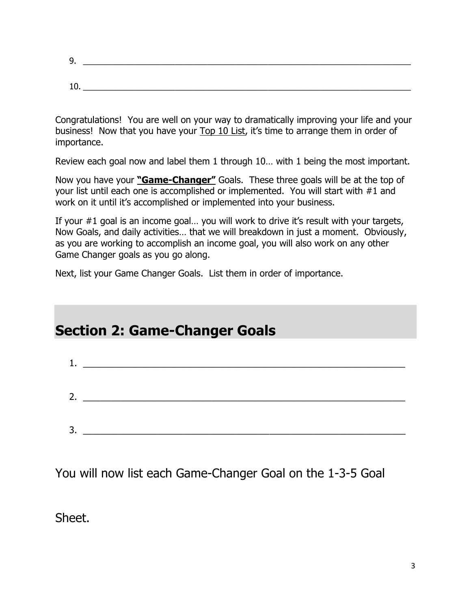| ◡<br>، پ |  |
|----------|--|
|          |  |
|          |  |
|          |  |

Congratulations! You are well on your way to dramatically improving your life and your business! Now that you have your Top 10 List, it's time to arrange them in order of importance.

Review each goal now and label them 1 through 10… with 1 being the most important.

Now you have your **"Game-Changer"** Goals. These three goals will be at the top of your list until each one is accomplished or implemented. You will start with #1 and work on it until it's accomplished or implemented into your business.

If your #1 goal is an income goal… you will work to drive it's result with your targets, Now Goals, and daily activities… that we will breakdown in just a moment. Obviously, as you are working to accomplish an income goal, you will also work on any other Game Changer goals as you go along.

Next, list your Game Changer Goals. List them in order of importance.

## **Section 2: Game-Changer Goals**

| 3. | <u> 1989 - Johann Barn, mars ann an t-Amhain an t-Amhain an t-Amhain an t-Amhain an t-Amhain an t-Amhain an t-Amh</u> |
|----|-----------------------------------------------------------------------------------------------------------------------|
|    |                                                                                                                       |

You will now list each Game-Changer Goal on the 1-3-5 Goal

Sheet.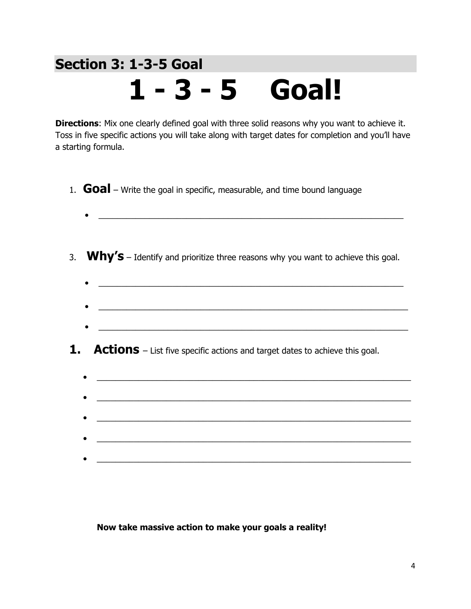## **Section 3: 1-3-5 Goal 1 - 3 - 5 Goal!**

**Directions:** Mix one clearly defined goal with three solid reasons why you want to achieve it. Toss in five specific actions you will take along with target dates for completion and you'll have a starting formula.

- 1. **Goal** Write the goal in specific, measurable, and time bound language
	- $\bullet$  . The contract of the contract of the contract of the contract of the contract of the contract of the contract of
- 3. **Why's** Identify and prioritize three reasons why you want to achieve this goal.
	-
	- \_\_\_\_\_\_\_\_\_\_\_\_\_\_\_\_\_\_\_\_\_\_\_\_\_\_\_\_\_\_\_\_\_\_\_\_\_\_\_\_\_\_\_\_\_\_\_\_\_\_\_\_\_\_\_\_\_\_\_\_\_\_\_\_\_\_\_
- **1.** Actions List five specific actions and target dates to achieve this goal.
	- $\bullet$  . The contract of the contract of the contract of the contract of the contract of the contract of the contract of  $\overline{\phantom{a}}$  , and the contribution of the contribution of the contribution of the contribution of the contribution of the contribution of the contribution of the contribution of the contribution of the contribution of the  $\mathcal{L}_\mathcal{L} = \mathcal{L}_\mathcal{L} = \mathcal{L}_\mathcal{L} = \mathcal{L}_\mathcal{L} = \mathcal{L}_\mathcal{L} = \mathcal{L}_\mathcal{L} = \mathcal{L}_\mathcal{L} = \mathcal{L}_\mathcal{L} = \mathcal{L}_\mathcal{L} = \mathcal{L}_\mathcal{L} = \mathcal{L}_\mathcal{L} = \mathcal{L}_\mathcal{L} = \mathcal{L}_\mathcal{L} = \mathcal{L}_\mathcal{L} = \mathcal{L}_\mathcal{L} = \mathcal{L}_\mathcal{L} = \mathcal{L}_\mathcal{L}$

**Now take massive action to make your goals a reality!**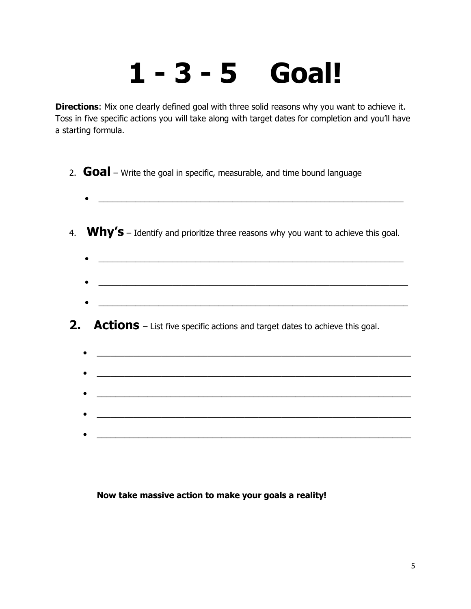# **1 - 3 - 5 Goal!**

**Directions:** Mix one clearly defined goal with three solid reasons why you want to achieve it. Toss in five specific actions you will take along with target dates for completion and you'll have a starting formula.

- 2. **Goal** Write the goal in specific, measurable, and time bound language
- 4. **Why's** Identify and prioritize three reasons why you want to achieve this goal.
	- $\bullet$   $\_\_$
	- $\overline{\phantom{a}}$  ,  $\overline{\phantom{a}}$  ,  $\overline{\phantom{a}}$  ,  $\overline{\phantom{a}}$  ,  $\overline{\phantom{a}}$  ,  $\overline{\phantom{a}}$  ,  $\overline{\phantom{a}}$  ,  $\overline{\phantom{a}}$  ,  $\overline{\phantom{a}}$  ,  $\overline{\phantom{a}}$  ,  $\overline{\phantom{a}}$  ,  $\overline{\phantom{a}}$  ,  $\overline{\phantom{a}}$  ,  $\overline{\phantom{a}}$  ,  $\overline{\phantom{a}}$  ,  $\overline{\phantom{a}}$

 $\overline{\phantom{a}}$  , and the contribution of the contribution of the contribution of the contribution of the contribution of the contribution of the contribution of the contribution of the contribution of the contribution of the

### **2.** Actions – List five specific actions and target dates to achieve this goal.

| <u> 1989 - Johann Stoff, Amerikaansk politiker (</u>                                                                   |
|------------------------------------------------------------------------------------------------------------------------|
|                                                                                                                        |
| $\bullet \quad \underline{\hspace{1cm}}$                                                                               |
|                                                                                                                        |
| <u> 1990 - Johann Barbara, martin amerikan basal dan berasal dalam basal dalam basal dalam basal dalam basal dala</u>  |
|                                                                                                                        |
| <u> 1980 - Jan Stern Harry Harry Harry Harry Harry Harry Harry Harry Harry Harry Harry Harry Harry Harry Harry Har</u> |
|                                                                                                                        |
| <u> 1989 - Johann Barbara, martxa alemaniar amerikan a</u>                                                             |
|                                                                                                                        |

#### **Now take massive action to make your goals a reality!**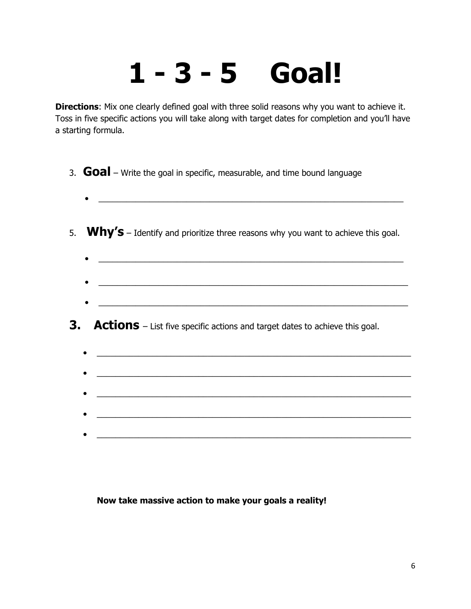# **1 - 3 - 5 Goal!**

**Directions:** Mix one clearly defined goal with three solid reasons why you want to achieve it. Toss in five specific actions you will take along with target dates for completion and you'll have a starting formula.

- 3. **Goal** Write the goal in specific, measurable, and time bound language
- 5. **Why's** Identify and prioritize three reasons why you want to achieve this goal.
	- $\bullet$   $\_\_$
	- $\mathcal{L}_\text{max} = \mathcal{L}_\text{max} = \mathcal{L}_\text{max} = \mathcal{L}_\text{max} = \mathcal{L}_\text{max} = \mathcal{L}_\text{max} = \mathcal{L}_\text{max} = \mathcal{L}_\text{max} = \mathcal{L}_\text{max} = \mathcal{L}_\text{max} = \mathcal{L}_\text{max} = \mathcal{L}_\text{max} = \mathcal{L}_\text{max} = \mathcal{L}_\text{max} = \mathcal{L}_\text{max} = \mathcal{L}_\text{max} = \mathcal{L}_\text{max} = \mathcal{L}_\text{max} = \mathcal{$  $\overline{\phantom{a}}$  , and the contribution of the contribution of the contribution of the contribution of the contribution of the contribution of the contribution of the contribution of the contribution of the contribution of the

### **3.** Actions – List five specific actions and target dates to achieve this goal.

|           | <u> 1989 - Johann Stein, mars and de Branch and de Branch and de Branch and de Branch and de Branch and de Branch</u> |  |
|-----------|-----------------------------------------------------------------------------------------------------------------------|--|
|           |                                                                                                                       |  |
|           | <u> 1989 - Johann Stein, mars an deus Amerikaansk kommunist (d. 1989)</u>                                             |  |
|           |                                                                                                                       |  |
| $\bullet$ | <u> 1989 - Johann Barbara, martxa alemaniar amerikan a</u>                                                            |  |
|           |                                                                                                                       |  |
|           |                                                                                                                       |  |
|           |                                                                                                                       |  |
|           |                                                                                                                       |  |

#### **Now take massive action to make your goals a reality!**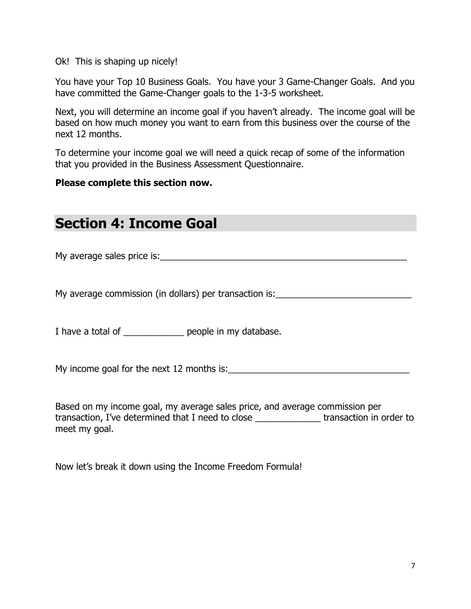Ok! This is shaping up nicely!

You have your Top 10 Business Goals. You have your 3 Game-Changer Goals. And you have committed the Game-Changer goals to the 1-3-5 worksheet.

Next, you will determine an income goal if you haven't already. The income goal will be based on how much money you want to earn from this business over the course of the next 12 months.

To determine your income goal we will need a quick recap of some of the information that you provided in the Business Assessment Questionnaire.

#### **Please complete this section now.**

## **Section 4: Income Goal**

My average sales price is:\_\_\_\_\_\_\_\_\_\_\_\_\_\_\_\_\_\_\_\_\_\_\_\_\_\_\_\_\_\_\_\_\_\_\_\_\_\_\_\_\_\_\_\_\_\_\_\_\_

My average commission (in dollars) per transaction is: \_\_\_\_\_\_\_\_\_\_\_\_\_\_\_\_\_\_\_\_\_\_\_\_\_

I have a total of \_\_\_\_\_\_\_\_\_\_\_\_\_\_ people in my database.

My income goal for the next 12 months is:\_\_\_\_\_\_\_\_\_\_\_\_\_\_\_\_\_\_\_\_\_\_\_\_\_\_\_\_\_\_\_\_\_\_\_\_

Based on my income goal, my average sales price, and average commission per transaction, I've determined that I need to close \_\_\_\_\_\_\_\_\_\_\_\_\_ transaction in order to meet my goal.

Now let's break it down using the Income Freedom Formula!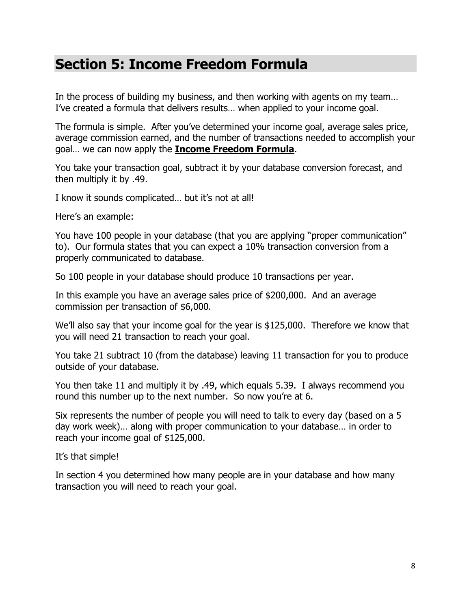## **Section 5: Income Freedom Formula**

In the process of building my business, and then working with agents on my team… I've created a formula that delivers results… when applied to your income goal.

The formula is simple. After you've determined your income goal, average sales price, average commission earned, and the number of transactions needed to accomplish your goal… we can now apply the **Income Freedom Formula**.

You take your transaction goal, subtract it by your database conversion forecast, and then multiply it by .49.

I know it sounds complicated… but it's not at all!

Here's an example:

You have 100 people in your database (that you are applying "proper communication" to). Our formula states that you can expect a 10% transaction conversion from a properly communicated to database.

So 100 people in your database should produce 10 transactions per year.

In this example you have an average sales price of \$200,000. And an average commission per transaction of \$6,000.

We'll also say that your income goal for the year is \$125,000. Therefore we know that you will need 21 transaction to reach your goal.

You take 21 subtract 10 (from the database) leaving 11 transaction for you to produce outside of your database.

You then take 11 and multiply it by .49, which equals 5.39. I always recommend you round this number up to the next number. So now you're at 6.

Six represents the number of people you will need to talk to every day (based on a 5 day work week)… along with proper communication to your database… in order to reach your income goal of \$125,000.

It's that simple!

In section 4 you determined how many people are in your database and how many transaction you will need to reach your goal.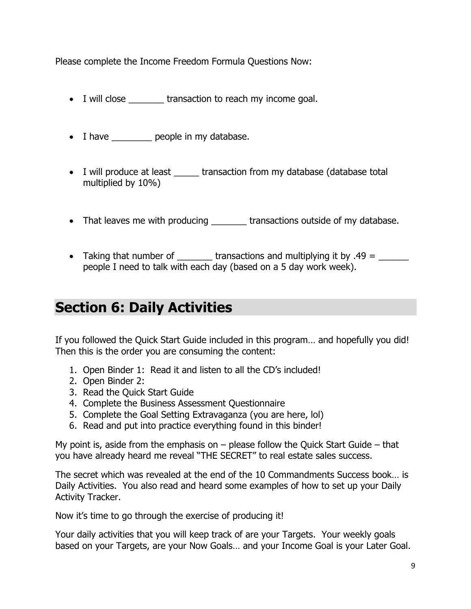Please complete the Income Freedom Formula Questions Now:

- I will close transaction to reach my income goal.
- I have <u>example people</u> in my database.
- I will produce at least \_\_\_\_\_ transaction from my database (database total multiplied by 10%)
- That leaves me with producing \_\_\_\_\_\_\_\_ transactions outside of my database.
- Taking that number of  $\frac{1}{\sqrt{1-\frac{1}{\sqrt{1-\frac{1}{\sqrt{1-\frac{1}{\sqrt{1-\frac{1}{\sqrt{1-\frac{1}{\sqrt{1-\frac{1}{\sqrt{1-\frac{1}{\sqrt{1-\frac{1}{\sqrt{1-\frac{1}{\sqrt{1-\frac{1}{\sqrt{1-\frac{1}{\sqrt{1-\frac{1}{\sqrt{1-\frac{1}{\sqrt{1-\frac{1}{\sqrt{1-\frac{1}{\sqrt{1-\frac{1}{\sqrt{1-\frac{1}{\sqrt{1-\frac{1}{\sqrt{1-\frac{1}{\sqrt{1-\frac{1}{\sqrt{1-\frac{1}{\sqrt$ people I need to talk with each day (based on a 5 day work week).

## **Section 6: Daily Activities**

If you followed the Quick Start Guide included in this program… and hopefully you did! Then this is the order you are consuming the content:

- 1. Open Binder 1: Read it and listen to all the CD's included!
- 2. Open Binder 2:
- 3. Read the Quick Start Guide
- 4. Complete the Business Assessment Questionnaire
- 5. Complete the Goal Setting Extravaganza (you are here, lol)
- 6. Read and put into practice everything found in this binder!

My point is, aside from the emphasis on  $-$  please follow the Quick Start Guide  $-$  that you have already heard me reveal "THE SECRET" to real estate sales success.

The secret which was revealed at the end of the 10 Commandments Success book… is Daily Activities. You also read and heard some examples of how to set up your Daily Activity Tracker.

Now it's time to go through the exercise of producing it!

Your daily activities that you will keep track of are your Targets. Your weekly goals based on your Targets, are your Now Goals… and your Income Goal is your Later Goal.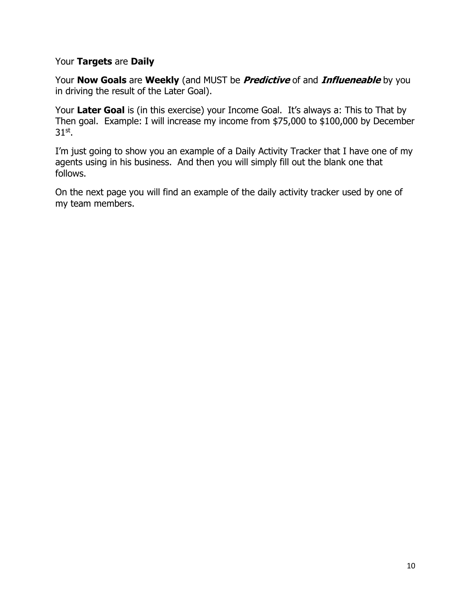#### Your **Targets** are **Daily**

Your **Now Goals** are **Weekly** (and MUST be **Predictive** of and **Influeneable** by you in driving the result of the Later Goal).

Your **Later Goal** is (in this exercise) your Income Goal. It's always a: This to That by Then goal. Example: I will increase my income from \$75,000 to \$100,000 by December 31st .

I'm just going to show you an example of a Daily Activity Tracker that I have one of my agents using in his business. And then you will simply fill out the blank one that follows.

On the next page you will find an example of the daily activity tracker used by one of my team members.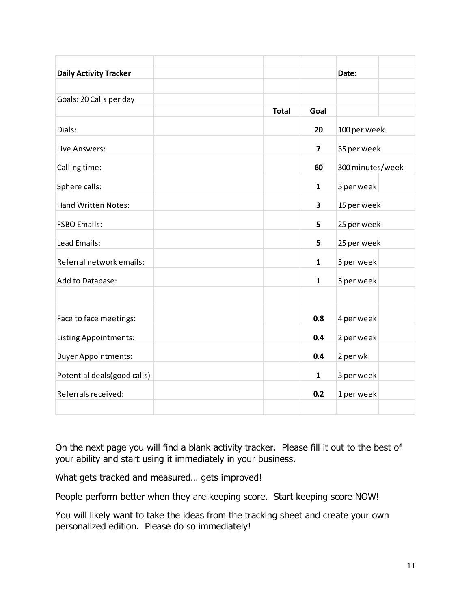| <b>Daily Activity Tracker</b> |              |              | Date:            |  |
|-------------------------------|--------------|--------------|------------------|--|
|                               |              |              |                  |  |
| Goals: 20 Calls per day       |              |              |                  |  |
|                               | <b>Total</b> | Goal         |                  |  |
| Dials:                        |              | 20           | 100 per week     |  |
| Live Answers:                 |              | 7            | 35 per week      |  |
| Calling time:                 |              | 60           | 300 minutes/week |  |
| Sphere calls:                 |              | $\mathbf{1}$ | 5 per week       |  |
| <b>Hand Written Notes:</b>    |              | 3            | 15 per week      |  |
| <b>FSBO Emails:</b>           |              | 5            | 25 per week      |  |
| Lead Emails:                  |              | 5            | 25 per week      |  |
| Referral network emails:      |              | 1            | 5 per week       |  |
| Add to Database:              |              | 1            | 5 per week       |  |
|                               |              |              |                  |  |
| Face to face meetings:        |              | 0.8          | 4 per week       |  |
| <b>Listing Appointments:</b>  |              | 0.4          | 2 per week       |  |
| <b>Buyer Appointments:</b>    |              | 0.4          | 2 per wk         |  |
| Potential deals(good calls)   |              | $\mathbf{1}$ | 5 per week       |  |
| Referrals received:           |              | 0.2          | 1 per week       |  |
|                               |              |              |                  |  |

On the next page you will find a blank activity tracker. Please fill it out to the best of your ability and start using it immediately in your business.

What gets tracked and measured… gets improved!

People perform better when they are keeping score. Start keeping score NOW!

You will likely want to take the ideas from the tracking sheet and create your own personalized edition. Please do so immediately!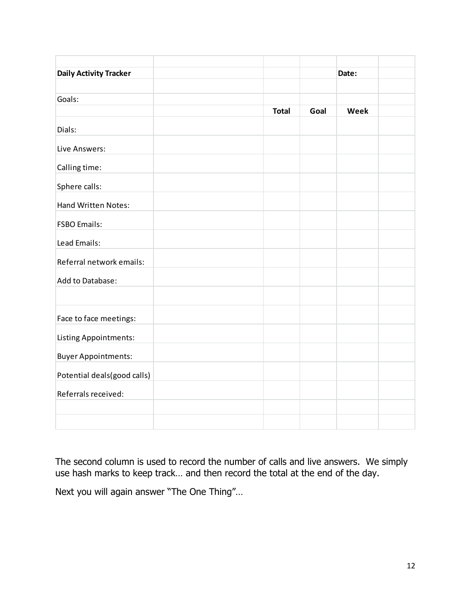| <b>Daily Activity Tracker</b> |              |      | Date: |  |
|-------------------------------|--------------|------|-------|--|
| Goals:                        |              |      |       |  |
|                               | <b>Total</b> | Goal | Week  |  |
| Dials:                        |              |      |       |  |
| Live Answers:                 |              |      |       |  |
| Calling time:                 |              |      |       |  |
| Sphere calls:                 |              |      |       |  |
| Hand Written Notes:           |              |      |       |  |
| <b>FSBO Emails:</b>           |              |      |       |  |
| Lead Emails:                  |              |      |       |  |
| Referral network emails:      |              |      |       |  |
| Add to Database:              |              |      |       |  |
|                               |              |      |       |  |
| Face to face meetings:        |              |      |       |  |
| <b>Listing Appointments:</b>  |              |      |       |  |
| <b>Buyer Appointments:</b>    |              |      |       |  |
| Potential deals(good calls)   |              |      |       |  |
| Referrals received:           |              |      |       |  |
|                               |              |      |       |  |
|                               |              |      |       |  |

The second column is used to record the number of calls and live answers. We simply use hash marks to keep track… and then record the total at the end of the day.

Next you will again answer "The One Thing"…